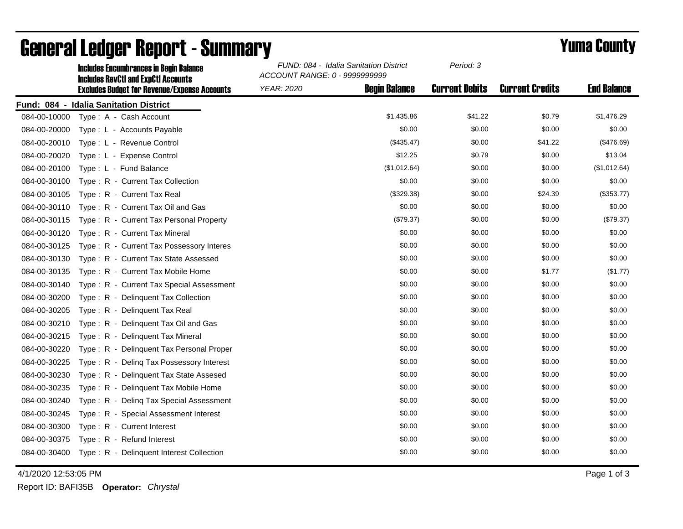|              | <b>Includes Encumbrances in Begin Balance</b><br><b>Includes RevCtI and ExpCtI Accounts</b> | FUND: 084 - Idalia Sanitation District<br>ACCOUNT RANGE: 0 - 9999999999 |                      | Period: 3             |                        |                    |
|--------------|---------------------------------------------------------------------------------------------|-------------------------------------------------------------------------|----------------------|-----------------------|------------------------|--------------------|
|              | <b>Excludes Budget for Revenue/Expense Accounts</b>                                         | <b>YEAR: 2020</b>                                                       | <b>Begin Balance</b> | <b>Current Debits</b> | <b>Current Credits</b> | <b>End Balance</b> |
|              | Fund: 084 - Idalia Sanitation District                                                      |                                                                         |                      |                       |                        |                    |
| 084-00-10000 | Type: A - Cash Account                                                                      |                                                                         | \$1,435.86           | \$41.22               | \$0.79                 | \$1,476.29         |
| 084-00-20000 | Type: L - Accounts Payable                                                                  |                                                                         | \$0.00               | \$0.00                | \$0.00                 | \$0.00             |
| 084-00-20010 | Type: L - Revenue Control                                                                   |                                                                         | (\$435.47)           | \$0.00                | \$41.22                | (\$476.69)         |
| 084-00-20020 | Type: L - Expense Control                                                                   |                                                                         | \$12.25              | \$0.79                | \$0.00                 | \$13.04            |
| 084-00-20100 | Type: L - Fund Balance                                                                      |                                                                         | (\$1,012.64)         | \$0.00                | \$0.00                 | (\$1,012.64)       |
| 084-00-30100 | Type: R - Current Tax Collection                                                            |                                                                         | \$0.00               | \$0.00                | \$0.00                 | \$0.00             |
| 084-00-30105 | Type: R - Current Tax Real                                                                  |                                                                         | (\$329.38)           | \$0.00                | \$24.39                | (\$353.77)         |
| 084-00-30110 | Type: R - Current Tax Oil and Gas                                                           |                                                                         | \$0.00               | \$0.00                | \$0.00                 | \$0.00             |
| 084-00-30115 | Type: R - Current Tax Personal Property                                                     |                                                                         | (\$79.37)            | \$0.00                | \$0.00                 | (\$79.37)          |
| 084-00-30120 | Type: R - Current Tax Mineral                                                               |                                                                         | \$0.00               | \$0.00                | \$0.00                 | \$0.00             |
| 084-00-30125 | Type: R - Current Tax Possessory Interes                                                    |                                                                         | \$0.00               | \$0.00                | \$0.00                 | \$0.00             |
| 084-00-30130 | Type: R - Current Tax State Assessed                                                        |                                                                         | \$0.00               | \$0.00                | \$0.00                 | \$0.00             |
| 084-00-30135 | Type: R - Current Tax Mobile Home                                                           |                                                                         | \$0.00               | \$0.00                | \$1.77                 | (\$1.77)           |
| 084-00-30140 | Type: R - Current Tax Special Assessment                                                    |                                                                         | \$0.00               | \$0.00                | \$0.00                 | \$0.00             |
| 084-00-30200 | Type: R - Delinquent Tax Collection                                                         |                                                                         | \$0.00               | \$0.00                | \$0.00                 | \$0.00             |
| 084-00-30205 | Type: R - Delinquent Tax Real                                                               |                                                                         | \$0.00               | \$0.00                | \$0.00                 | \$0.00             |
| 084-00-30210 | Type: R - Delinquent Tax Oil and Gas                                                        |                                                                         | \$0.00               | \$0.00                | \$0.00                 | \$0.00             |
| 084-00-30215 | Type: R - Delinquent Tax Mineral                                                            |                                                                         | \$0.00               | \$0.00                | \$0.00                 | \$0.00             |
| 084-00-30220 | Type: R - Delinquent Tax Personal Proper                                                    |                                                                         | \$0.00               | \$0.00                | \$0.00                 | \$0.00             |
| 084-00-30225 | Type: R - Deling Tax Possessory Interest                                                    |                                                                         | \$0.00               | \$0.00                | \$0.00                 | \$0.00             |
| 084-00-30230 | Type: R - Delinguent Tax State Assesed                                                      |                                                                         | \$0.00               | \$0.00                | \$0.00                 | \$0.00             |
| 084-00-30235 | Type: R - Delinquent Tax Mobile Home                                                        |                                                                         | \$0.00               | \$0.00                | \$0.00                 | \$0.00             |
| 084-00-30240 | Type: R - Deling Tax Special Assessment                                                     |                                                                         | \$0.00               | \$0.00                | \$0.00                 | \$0.00             |
| 084-00-30245 | Type: R - Special Assessment Interest                                                       |                                                                         | \$0.00               | \$0.00                | \$0.00                 | \$0.00             |
| 084-00-30300 | Type: R - Current Interest                                                                  |                                                                         | \$0.00               | \$0.00                | \$0.00                 | \$0.00             |
| 084-00-30375 | Type: R - Refund Interest                                                                   |                                                                         | \$0.00               | \$0.00                | \$0.00                 | \$0.00             |
|              | 084-00-30400 Type: R - Delinquent Interest Collection                                       |                                                                         | \$0.00               | \$0.00                | \$0.00                 | \$0.00             |

## General Ledger Report - Summary **Example 2018** Yuma County

4/1/2020 12:53:05 PM Page 1 of 3

Report ID: BAFI35B **Operator:** *Chrystal*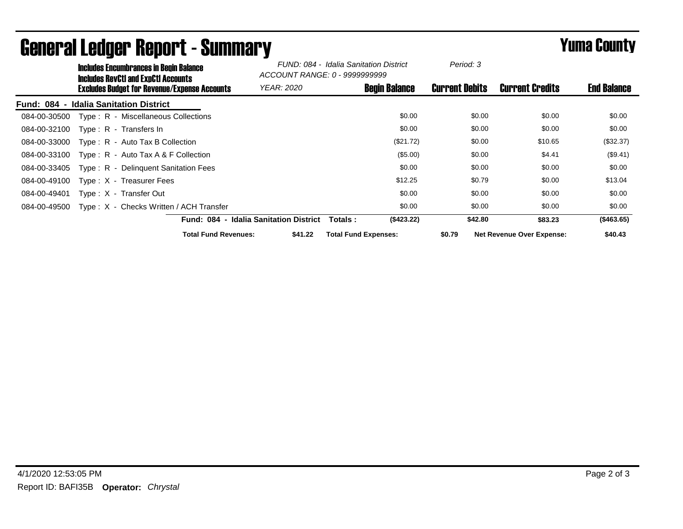|                                    | <b>Includes Encumbrances in Begin Balance</b><br><b>Includes RevCtI and ExpCtI Accounts</b> |                                              |                             | FUND: 084 - Idalia Sanitation District<br>ACCOUNT RANGE: 0 - 99999999999 |         | Period: 3                   |                      |                       |                                  |                    |
|------------------------------------|---------------------------------------------------------------------------------------------|----------------------------------------------|-----------------------------|--------------------------------------------------------------------------|---------|-----------------------------|----------------------|-----------------------|----------------------------------|--------------------|
|                                    |                                                                                             | Excludes Budget for Revenue/Expense Accounts |                             | <i>YEAR: 2020</i>                                                        |         |                             | <b>Begin Balance</b> | <b>Current Debits</b> | <b>Current Credits</b>           | <b>End Balance</b> |
| <b>Fund: 084</b><br>$\blacksquare$ |                                                                                             | <b>Idalia Sanitation District</b>            |                             |                                                                          |         |                             |                      |                       |                                  |                    |
| 084-00-30500                       |                                                                                             | Type: R - Miscellaneous Collections          |                             |                                                                          |         |                             | \$0.00               | \$0.00                | \$0.00                           | \$0.00             |
| 084-00-32100                       |                                                                                             | Type: R - Transfers In                       |                             |                                                                          |         |                             | \$0.00               | \$0.00                | \$0.00                           | \$0.00             |
| 084-00-33000                       |                                                                                             | $Type: R - Auto Tax B Collection$            |                             |                                                                          |         |                             | (\$21.72)            | \$0.00                | \$10.65                          | (\$32.37)          |
| 084-00-33100                       |                                                                                             | Type : $R -$ Auto Tax A & F Collection       |                             |                                                                          |         |                             | (\$5.00)             | \$0.00                | \$4.41                           | $(\$9.41)$         |
| 084-00-33405                       |                                                                                             | Type: R - Delinguent Sanitation Fees         |                             |                                                                          |         |                             | \$0.00               | \$0.00                | \$0.00                           | \$0.00             |
| 084-00-49100                       |                                                                                             | Type: X - Treasurer Fees                     |                             |                                                                          |         |                             | \$12.25              | \$0.79                | \$0.00                           | \$13.04            |
| 084-00-49401                       |                                                                                             | Type: X - Transfer Out                       |                             |                                                                          |         |                             | \$0.00               | \$0.00                | \$0.00                           | \$0.00             |
| 084-00-49500                       |                                                                                             | Type: X - Checks Written / ACH Transfer      |                             |                                                                          |         |                             | \$0.00               | \$0.00                | \$0.00                           | \$0.00             |
|                                    |                                                                                             |                                              |                             | Fund: 084 - Idalia Sanitation District                                   |         | Totals :                    | (\$423.22)           | \$42.80               | \$83.23                          | (\$463.65)         |
|                                    |                                                                                             |                                              | <b>Total Fund Revenues:</b> |                                                                          | \$41.22 | <b>Total Fund Expenses:</b> |                      | \$0.79                | <b>Net Revenue Over Expense:</b> | \$40.43            |

## General Ledger Report - Summary **Example 2018** Yuma County